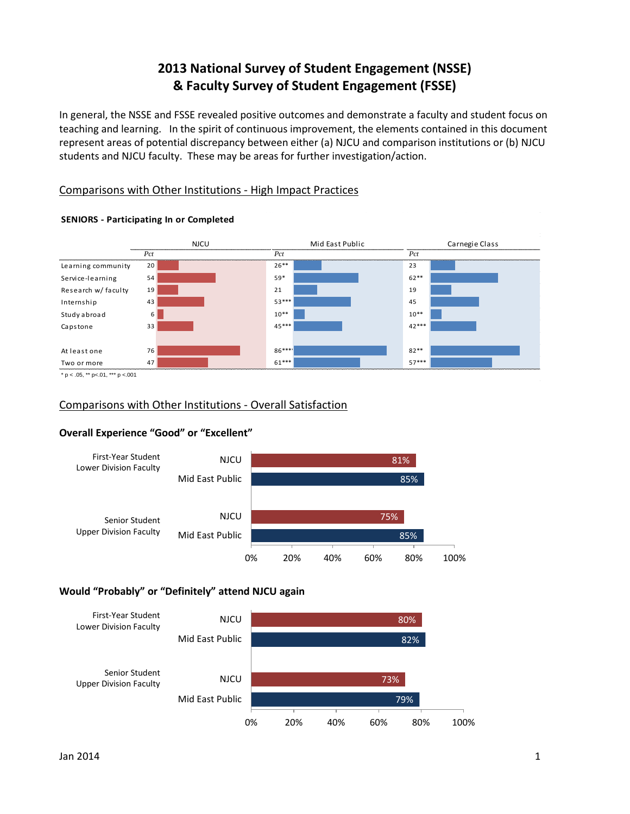# **2013 National Survey of Student Engagement (NSSE) & Faculty Survey of Student Engagement (FSSE)**

In general, the NSSE and FSSE revealed positive outcomes and demonstrate a faculty and student focus on teaching and learning. In the spirit of continuous improvement, the elements contained in this document represent areas of potential discrepancy between either (a) NJCU and comparison institutions or (b) NJCU students and NJCU faculty. These may be areas for further investigation/action.

# Comparisons with Other Institutions - High Impact Practices



#### **SENIORS - Participating In or Completed**

 $*$  p < .05,  $**$  p < .01,  $***$  p < .001

### Comparisons with Other Institutions - Overall Satisfaction

# **Overall Experience "Good" or "Excellent"**



#### **Would "Probably" or "Definitely" attend NJCU again**

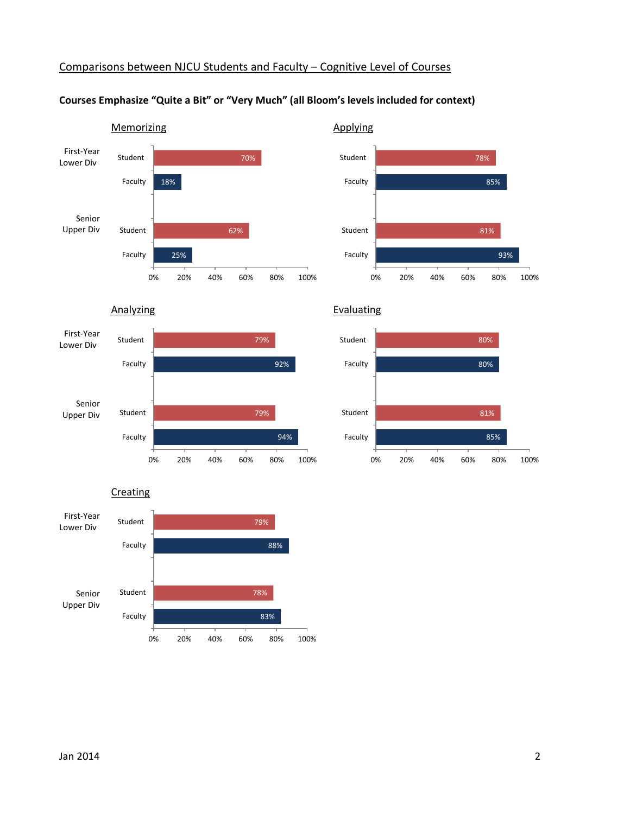# Comparisons between NJCU Students and Faculty – Cognitive Level of Courses

#### **Courses Emphasize "Quite a Bit" or "Very Much" (all Bloom's levels included for context)**



Analyzing **Evaluating Evaluating** 







#### Creating

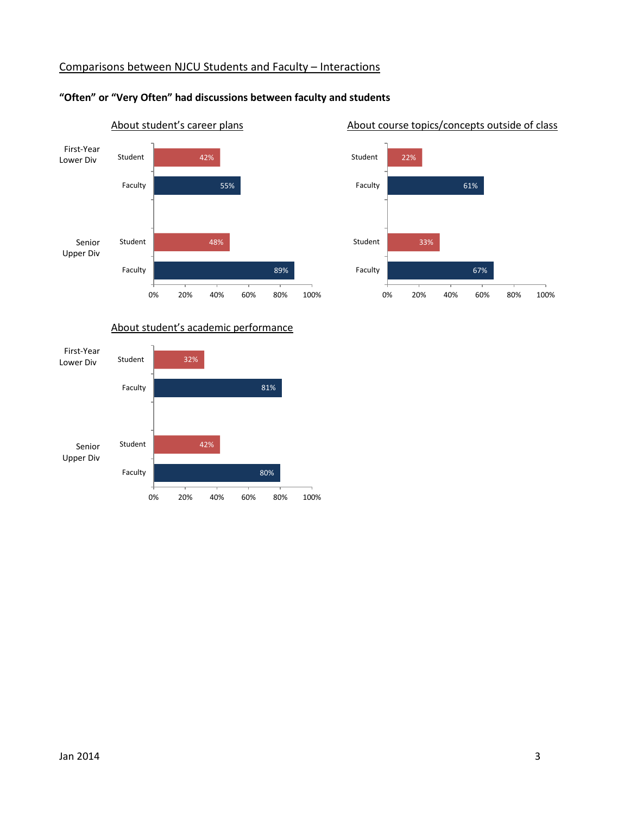## Comparisons between NJCU Students and Faculty – Interactions

#### **"Often" or "Very Often" had discussions between faculty and students**



#### About student's academic performance



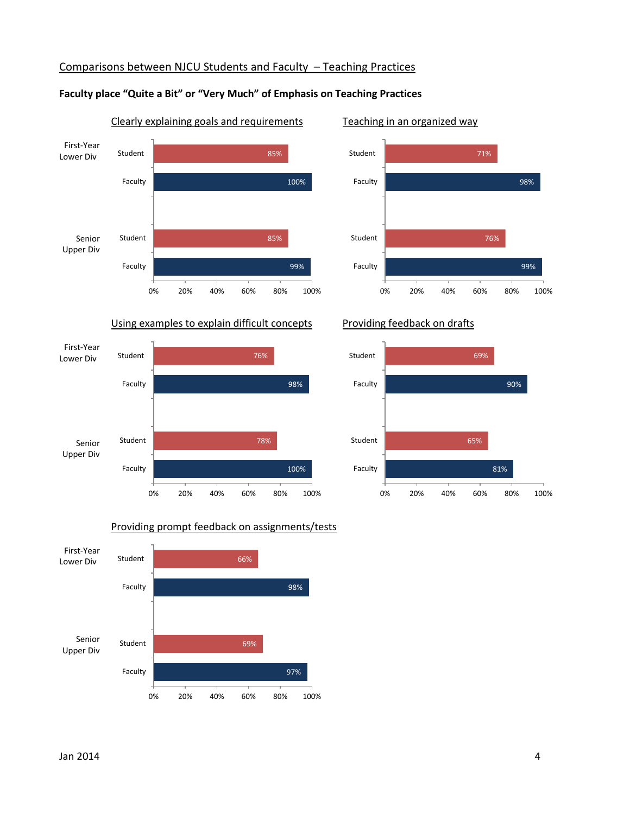#### Comparisons between NJCU Students and Faculty – Teaching Practices

#### **Faculty place "Quite a Bit" or "Very Much" of Emphasis on Teaching Practices**



#### Using examples to explain difficult concepts Providing feedback on drafts









#### Providing prompt feedback on assignments/tests